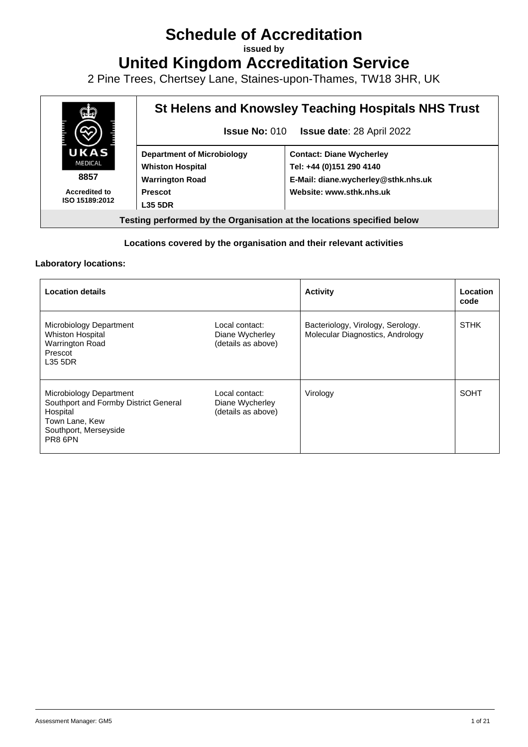## **Schedule of Accreditation**

**issued by**

**United Kingdom Accreditation Service**

2 Pine Trees, Chertsey Lane, Staines-upon-Thames, TW18 3HR, UK



## **Locations covered by the organisation and their relevant activities**

## **Laboratory locations:**

| <b>Location details</b>                                                                                                            |                                                         | <b>Activity</b>                                                       | Location<br>code |
|------------------------------------------------------------------------------------------------------------------------------------|---------------------------------------------------------|-----------------------------------------------------------------------|------------------|
| Microbiology Department<br>Whiston Hospital<br>Warrington Road<br>Prescot<br>L35 5DR                                               | Local contact:<br>Diane Wycherley<br>(details as above) | Bacteriology, Virology, Serology.<br>Molecular Diagnostics, Andrology | <b>STHK</b>      |
| Microbiology Department<br>Southport and Formby District General<br>Hospital<br>Town Lane, Kew<br>Southport, Merseyside<br>PR8 6PN | Local contact:<br>Diane Wycherley<br>(details as above) | Virology                                                              | <b>SOHT</b>      |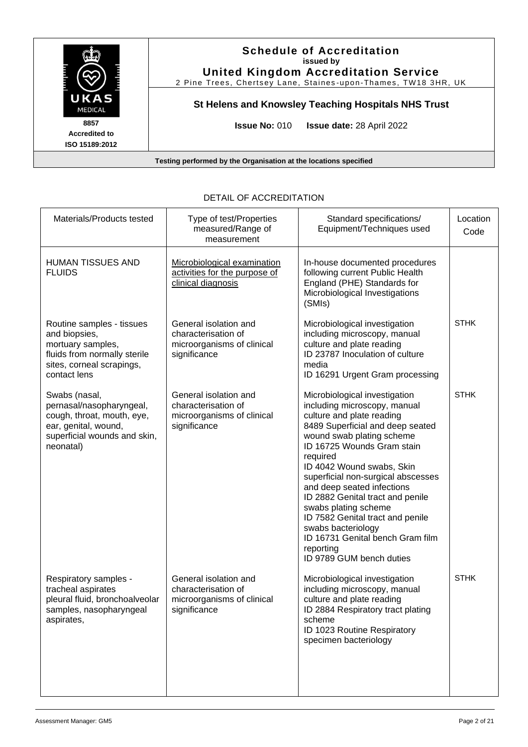

| Materials/Products tested                                                                                                                    | Type of test/Properties<br>measured/Range of<br>measurement                                | Standard specifications/<br>Equipment/Techniques used                                                                                                                                                                                                                                                                                                                                                                                                                                                     | Location<br>Code |
|----------------------------------------------------------------------------------------------------------------------------------------------|--------------------------------------------------------------------------------------------|-----------------------------------------------------------------------------------------------------------------------------------------------------------------------------------------------------------------------------------------------------------------------------------------------------------------------------------------------------------------------------------------------------------------------------------------------------------------------------------------------------------|------------------|
| <b>HUMAN TISSUES AND</b><br><b>FLUIDS</b>                                                                                                    | Microbiological examination<br>activities for the purpose of<br>clinical diagnosis         | In-house documented procedures<br>following current Public Health<br>England (PHE) Standards for<br>Microbiological Investigations<br>(SMIs)                                                                                                                                                                                                                                                                                                                                                              |                  |
| Routine samples - tissues<br>and biopsies,<br>mortuary samples,<br>fluids from normally sterile<br>sites, corneal scrapings,<br>contact lens | General isolation and<br>characterisation of<br>microorganisms of clinical<br>significance | Microbiological investigation<br>including microscopy, manual<br>culture and plate reading<br>ID 23787 Inoculation of culture<br>media<br>ID 16291 Urgent Gram processing                                                                                                                                                                                                                                                                                                                                 | <b>STHK</b>      |
| Swabs (nasal,<br>pernasal/nasopharyngeal,<br>cough, throat, mouth, eye,<br>ear, genital, wound,<br>superficial wounds and skin,<br>neonatal) | General isolation and<br>characterisation of<br>microorganisms of clinical<br>significance | Microbiological investigation<br>including microscopy, manual<br>culture and plate reading<br>8489 Superficial and deep seated<br>wound swab plating scheme<br>ID 16725 Wounds Gram stain<br>required<br>ID 4042 Wound swabs, Skin<br>superficial non-surgical abscesses<br>and deep seated infections<br>ID 2882 Genital tract and penile<br>swabs plating scheme<br>ID 7582 Genital tract and penile<br>swabs bacteriology<br>ID 16731 Genital bench Gram film<br>reporting<br>ID 9789 GUM bench duties | <b>STHK</b>      |
| Respiratory samples -<br>tracheal aspirates<br>pleural fluid, bronchoalveolar<br>samples, nasopharyngeal<br>aspirates,                       | General isolation and<br>characterisation of<br>microorganisms of clinical<br>significance | Microbiological investigation<br>including microscopy, manual<br>culture and plate reading<br>ID 2884 Respiratory tract plating<br>scheme<br>ID 1023 Routine Respiratory<br>specimen bacteriology                                                                                                                                                                                                                                                                                                         | <b>STHK</b>      |

## DETAIL OF ACCREDITATION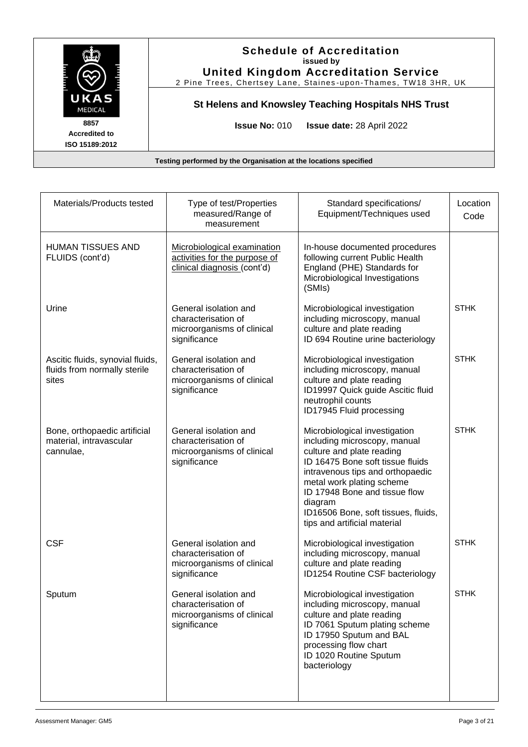

| Materials/Products tested                                                 | Type of test/Properties<br>measured/Range of<br>measurement                                 | Standard specifications/<br>Equipment/Techniques used                                                                                                                                                                                                                                                              | Location<br>Code |
|---------------------------------------------------------------------------|---------------------------------------------------------------------------------------------|--------------------------------------------------------------------------------------------------------------------------------------------------------------------------------------------------------------------------------------------------------------------------------------------------------------------|------------------|
| <b>HUMAN TISSUES AND</b><br>FLUIDS (cont'd)                               | Microbiological examination<br>activities for the purpose of<br>clinical diagnosis (cont'd) | In-house documented procedures<br>following current Public Health<br>England (PHE) Standards for<br>Microbiological Investigations<br>(SMIs)                                                                                                                                                                       |                  |
| Urine                                                                     | General isolation and<br>characterisation of<br>microorganisms of clinical<br>significance  | Microbiological investigation<br>including microscopy, manual<br>culture and plate reading<br>ID 694 Routine urine bacteriology                                                                                                                                                                                    | <b>STHK</b>      |
| Ascitic fluids, synovial fluids,<br>fluids from normally sterile<br>sites | General isolation and<br>characterisation of<br>microorganisms of clinical<br>significance  | Microbiological investigation<br>including microscopy, manual<br>culture and plate reading<br>ID19997 Quick guide Ascitic fluid<br>neutrophil counts<br>ID17945 Fluid processing                                                                                                                                   | <b>STHK</b>      |
| Bone, orthopaedic artificial<br>material, intravascular<br>cannulae,      | General isolation and<br>characterisation of<br>microorganisms of clinical<br>significance  | Microbiological investigation<br>including microscopy, manual<br>culture and plate reading<br>ID 16475 Bone soft tissue fluids<br>intravenous tips and orthopaedic<br>metal work plating scheme<br>ID 17948 Bone and tissue flow<br>diagram<br>ID16506 Bone, soft tissues, fluids,<br>tips and artificial material | <b>STHK</b>      |
| <b>CSF</b>                                                                | General isolation and<br>characterisation of<br>microorganisms of clinical<br>significance  | Microbiological investigation<br>including microscopy, manual<br>culture and plate reading<br>ID1254 Routine CSF bacteriology                                                                                                                                                                                      | <b>STHK</b>      |
| Sputum                                                                    | General isolation and<br>characterisation of<br>microorganisms of clinical<br>significance  | Microbiological investigation<br>including microscopy, manual<br>culture and plate reading<br>ID 7061 Sputum plating scheme<br>ID 17950 Sputum and BAL<br>processing flow chart<br>ID 1020 Routine Sputum<br>bacteriology                                                                                          | <b>STHK</b>      |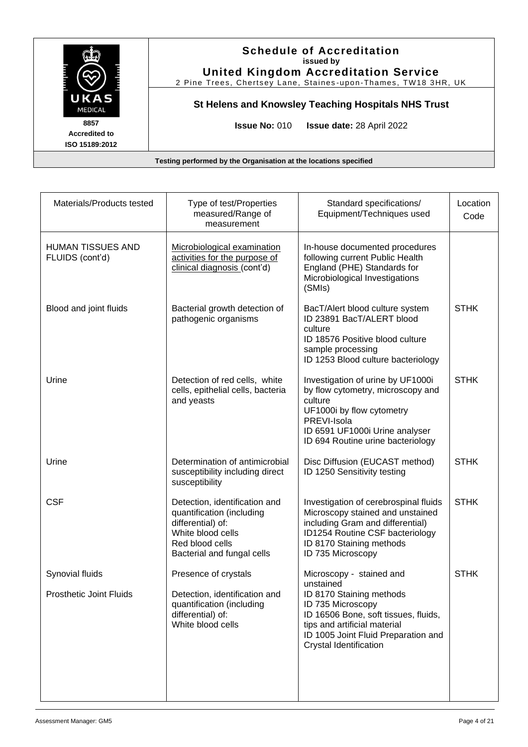

| Materials/Products tested                   | Type of test/Properties<br>measured/Range of<br>measurement                                                                                           | Standard specifications/<br>Equipment/Techniques used                                                                                                                                                | Location<br>Code |
|---------------------------------------------|-------------------------------------------------------------------------------------------------------------------------------------------------------|------------------------------------------------------------------------------------------------------------------------------------------------------------------------------------------------------|------------------|
| <b>HUMAN TISSUES AND</b><br>FLUIDS (cont'd) | Microbiological examination<br>activities for the purpose of<br>clinical diagnosis (cont'd)                                                           | In-house documented procedures<br>following current Public Health<br>England (PHE) Standards for<br>Microbiological Investigations<br>(SMIs)                                                         |                  |
| Blood and joint fluids                      | Bacterial growth detection of<br>pathogenic organisms                                                                                                 | BacT/Alert blood culture system<br>ID 23891 BacT/ALERT blood<br>culture<br>ID 18576 Positive blood culture<br>sample processing<br>ID 1253 Blood culture bacteriology                                | <b>STHK</b>      |
| Urine                                       | Detection of red cells, white<br>cells, epithelial cells, bacteria<br>and yeasts                                                                      | Investigation of urine by UF1000i<br>by flow cytometry, microscopy and<br>culture<br>UF1000i by flow cytometry<br>PREVI-Isola<br>ID 6591 UF1000i Urine analyser<br>ID 694 Routine urine bacteriology | <b>STHK</b>      |
| Urine                                       | Determination of antimicrobial<br>susceptibility including direct<br>susceptibility                                                                   | Disc Diffusion (EUCAST method)<br>ID 1250 Sensitivity testing                                                                                                                                        | <b>STHK</b>      |
| <b>CSF</b>                                  | Detection, identification and<br>quantification (including<br>differential) of:<br>White blood cells<br>Red blood cells<br>Bacterial and fungal cells | Investigation of cerebrospinal fluids<br>Microscopy stained and unstained<br>including Gram and differential)<br>ID1254 Routine CSF bacteriology<br>ID 8170 Staining methods<br>ID 735 Microscopy    | <b>STHK</b>      |
| Synovial fluids                             | Presence of crystals                                                                                                                                  | Microscopy - stained and                                                                                                                                                                             | <b>STHK</b>      |
| <b>Prosthetic Joint Fluids</b>              | Detection, identification and<br>quantification (including<br>differential) of:<br>White blood cells                                                  | unstained<br>ID 8170 Staining methods<br>ID 735 Microscopy<br>ID 16506 Bone, soft tissues, fluids,<br>tips and artificial material<br>ID 1005 Joint Fluid Preparation and<br>Crystal Identification  |                  |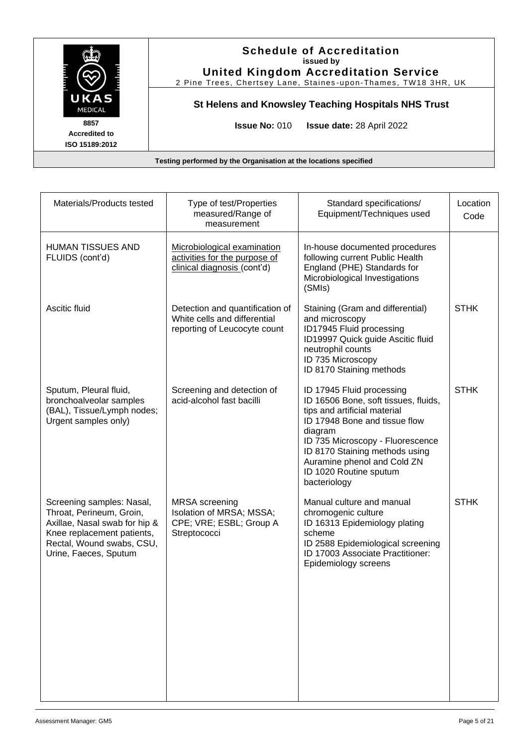

| Materials/Products tested                                                                                                                                                  | Type of test/Properties<br>measured/Range of<br>measurement                                     | Standard specifications/<br>Equipment/Techniques used                                                                                                                                                                                                                                        | Location<br>Code |
|----------------------------------------------------------------------------------------------------------------------------------------------------------------------------|-------------------------------------------------------------------------------------------------|----------------------------------------------------------------------------------------------------------------------------------------------------------------------------------------------------------------------------------------------------------------------------------------------|------------------|
| <b>HUMAN TISSUES AND</b><br>FLUIDS (cont'd)                                                                                                                                | Microbiological examination<br>activities for the purpose of<br>clinical diagnosis (cont'd)     | In-house documented procedures<br>following current Public Health<br>England (PHE) Standards for<br>Microbiological Investigations<br>(SMIs)                                                                                                                                                 |                  |
| Ascitic fluid                                                                                                                                                              | Detection and quantification of<br>White cells and differential<br>reporting of Leucocyte count | Staining (Gram and differential)<br>and microscopy<br>ID17945 Fluid processing<br>ID19997 Quick guide Ascitic fluid<br>neutrophil counts<br>ID 735 Microscopy<br>ID 8170 Staining methods                                                                                                    | <b>STHK</b>      |
| Sputum, Pleural fluid,<br>bronchoalveolar samples<br>(BAL), Tissue/Lymph nodes;<br>Urgent samples only)                                                                    | Screening and detection of<br>acid-alcohol fast bacilli                                         | ID 17945 Fluid processing<br>ID 16506 Bone, soft tissues, fluids,<br>tips and artificial material<br>ID 17948 Bone and tissue flow<br>diagram<br>ID 735 Microscopy - Fluorescence<br>ID 8170 Staining methods using<br>Auramine phenol and Cold ZN<br>ID 1020 Routine sputum<br>bacteriology | <b>STHK</b>      |
| Screening samples: Nasal,<br>Throat, Perineum, Groin,<br>Axillae, Nasal swab for hip &<br>Knee replacement patients,<br>Rectal, Wound swabs, CSU,<br>Urine, Faeces, Sputum | <b>MRSA</b> screening<br>Isolation of MRSA; MSSA;<br>CPE; VRE; ESBL; Group A<br>Streptococci    | Manual culture and manual<br>chromogenic culture<br>ID 16313 Epidemiology plating<br>scheme<br>ID 2588 Epidemiological screening<br>ID 17003 Associate Practitioner:<br>Epidemiology screens                                                                                                 | <b>STHK</b>      |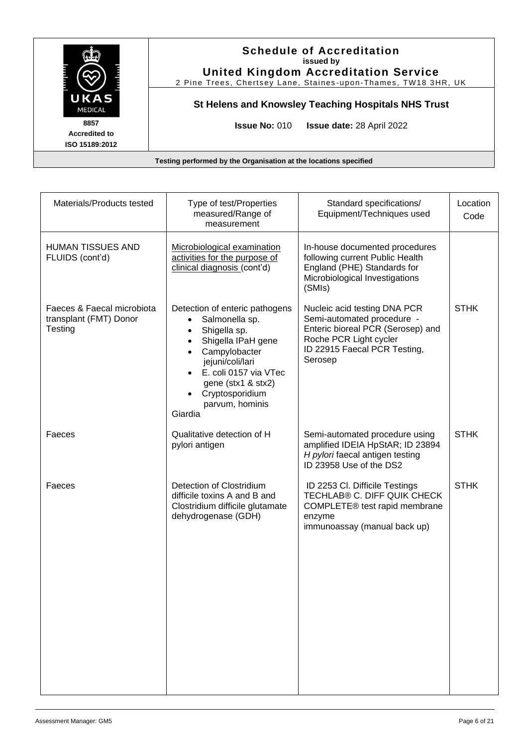

| Materials/Products tested                                       | Type of test/Properties<br>measured/Range of<br>measurement                                                                                                                                                                                                                          | Standard specifications/<br>Equipment/Techniques used                                                                                                                | Location<br>Code |
|-----------------------------------------------------------------|--------------------------------------------------------------------------------------------------------------------------------------------------------------------------------------------------------------------------------------------------------------------------------------|----------------------------------------------------------------------------------------------------------------------------------------------------------------------|------------------|
| HUMAN TISSUES AND<br>FLUIDS (cont'd)                            | Microbiological examination<br>activities for the purpose of<br>clinical diagnosis (cont'd)                                                                                                                                                                                          | In-house documented procedures<br>following current Public Health<br>England (PHE) Standards for<br>Microbiological Investigations<br>(SMIs)                         |                  |
| Faeces & Faecal microbiota<br>transplant (FMT) Donor<br>Testing | Detection of enteric pathogens<br>Salmonella sp.<br>$\bullet$<br>Shigella sp.<br>٠<br>Shigella IPaH gene<br>Campylobacter<br>$\bullet$<br>jejuni/coli/lari<br>E. coli 0157 via VTec<br>$\bullet$<br>gene (stx1 & stx2)<br>Cryptosporidium<br>$\bullet$<br>parvum, hominis<br>Giardia | Nucleic acid testing DNA PCR<br>Semi-automated procedure -<br>Enteric bioreal PCR (Serosep) and<br>Roche PCR Light cycler<br>ID 22915 Faecal PCR Testing,<br>Serosep | <b>STHK</b>      |
| Faeces                                                          | Qualitative detection of H<br>pylori antigen                                                                                                                                                                                                                                         | Semi-automated procedure using<br>amplified IDEIA HpStAR; ID 23894<br>H pylori faecal antigen testing<br>ID 23958 Use of the DS2                                     | <b>STHK</b>      |
| Faeces                                                          | Detection of Clostridium<br>difficile toxins A and B and<br>Clostridium difficile glutamate<br>dehydrogenase (GDH)                                                                                                                                                                   | ID 2253 CI. Difficile Testings<br>TECHLAB® C. DIFF QUIK CHECK<br>COMPLETE® test rapid membrane<br>enzyme<br>immunoassay (manual back up)                             | <b>STHK</b>      |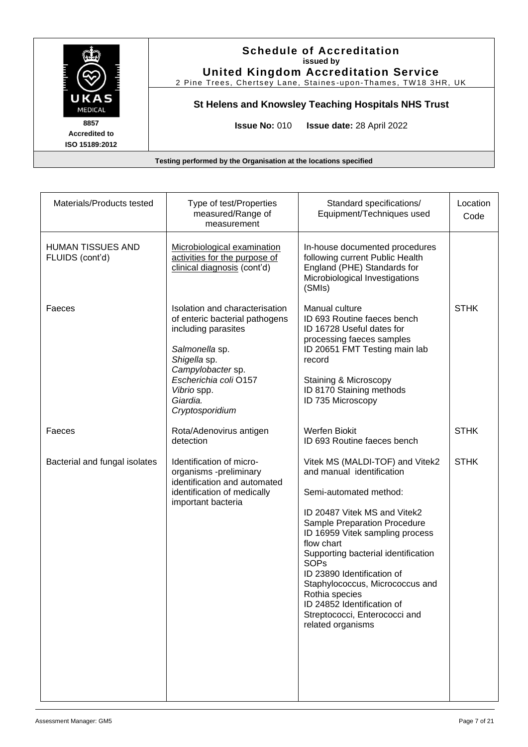

| Materials/Products tested                   | Type of test/Properties<br>measured/Range of<br>measurement                                                                                                                                                           | Standard specifications/<br>Equipment/Techniques used                                                                                                                                                                                                                                                                                                                                                                                | Location<br>Code |
|---------------------------------------------|-----------------------------------------------------------------------------------------------------------------------------------------------------------------------------------------------------------------------|--------------------------------------------------------------------------------------------------------------------------------------------------------------------------------------------------------------------------------------------------------------------------------------------------------------------------------------------------------------------------------------------------------------------------------------|------------------|
| <b>HUMAN TISSUES AND</b><br>FLUIDS (cont'd) | Microbiological examination<br>activities for the purpose of<br>clinical diagnosis (cont'd)                                                                                                                           | In-house documented procedures<br>following current Public Health<br>England (PHE) Standards for<br>Microbiological Investigations<br>(SMIs)                                                                                                                                                                                                                                                                                         |                  |
| Faeces                                      | Isolation and characterisation<br>of enteric bacterial pathogens<br>including parasites<br>Salmonella sp.<br>Shigella sp.<br>Campylobacter sp.<br>Escherichia coli O157<br>Vibrio spp.<br>Giardia.<br>Cryptosporidium | Manual culture<br>ID 693 Routine faeces bench<br>ID 16728 Useful dates for<br>processing faeces samples<br>ID 20651 FMT Testing main lab<br>record<br>Staining & Microscopy<br>ID 8170 Staining methods<br>ID 735 Microscopy                                                                                                                                                                                                         | <b>STHK</b>      |
| Faeces                                      | Rota/Adenovirus antigen<br>detection                                                                                                                                                                                  | <b>Werfen Biokit</b><br>ID 693 Routine faeces bench                                                                                                                                                                                                                                                                                                                                                                                  | <b>STHK</b>      |
| Bacterial and fungal isolates               | Identification of micro-<br>organisms -preliminary<br>identification and automated<br>identification of medically<br>important bacteria                                                                               | Vitek MS (MALDI-TOF) and Vitek2<br>and manual identification<br>Semi-automated method:<br>ID 20487 Vitek MS and Vitek2<br>Sample Preparation Procedure<br>ID 16959 Vitek sampling process<br>flow chart<br>Supporting bacterial identification<br><b>SOPs</b><br>ID 23890 Identification of<br>Staphylococcus, Micrococcus and<br>Rothia species<br>ID 24852 Identification of<br>Streptococci, Enterococci and<br>related organisms | <b>STHK</b>      |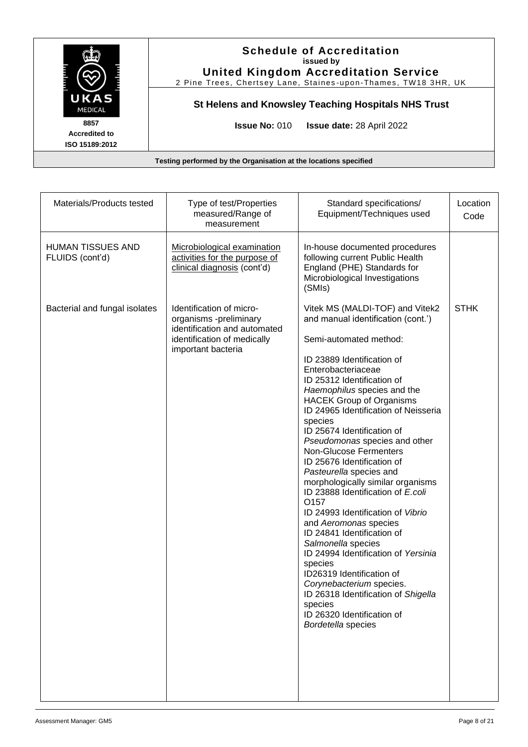

| Materials/Products tested                   | Type of test/Properties<br>measured/Range of<br>measurement                                                                             | Standard specifications/<br>Equipment/Techniques used                                                                                                                                                                                                                                                                                                                                                                                                                                                                                                                                                                                                                                                                                                                                                                                                                                            | Location<br>Code |
|---------------------------------------------|-----------------------------------------------------------------------------------------------------------------------------------------|--------------------------------------------------------------------------------------------------------------------------------------------------------------------------------------------------------------------------------------------------------------------------------------------------------------------------------------------------------------------------------------------------------------------------------------------------------------------------------------------------------------------------------------------------------------------------------------------------------------------------------------------------------------------------------------------------------------------------------------------------------------------------------------------------------------------------------------------------------------------------------------------------|------------------|
| <b>HUMAN TISSUES AND</b><br>FLUIDS (cont'd) | Microbiological examination<br>activities for the purpose of<br>clinical diagnosis (cont'd)                                             | In-house documented procedures<br>following current Public Health<br>England (PHE) Standards for<br>Microbiological Investigations<br>(SMIs)                                                                                                                                                                                                                                                                                                                                                                                                                                                                                                                                                                                                                                                                                                                                                     |                  |
| Bacterial and fungal isolates               | Identification of micro-<br>organisms -preliminary<br>identification and automated<br>identification of medically<br>important bacteria | Vitek MS (MALDI-TOF) and Vitek2<br>and manual identification (cont.')<br>Semi-automated method:<br>ID 23889 Identification of<br>Enterobacteriaceae<br>ID 25312 Identification of<br>Haemophilus species and the<br><b>HACEK Group of Organisms</b><br>ID 24965 Identification of Neisseria<br>species<br>ID 25674 Identification of<br>Pseudomonas species and other<br><b>Non-Glucose Fermenters</b><br>ID 25676 Identification of<br>Pasteurella species and<br>morphologically similar organisms<br>ID 23888 Identification of E.coli<br>O <sub>157</sub><br>ID 24993 Identification of Vibrio<br>and Aeromonas species<br>ID 24841 Identification of<br>Salmonella species<br>ID 24994 Identification of Yersinia<br>species<br>ID26319 Identification of<br>Corynebacterium species.<br>ID 26318 Identification of Shigella<br>species<br>ID 26320 Identification of<br>Bordetella species | <b>STHK</b>      |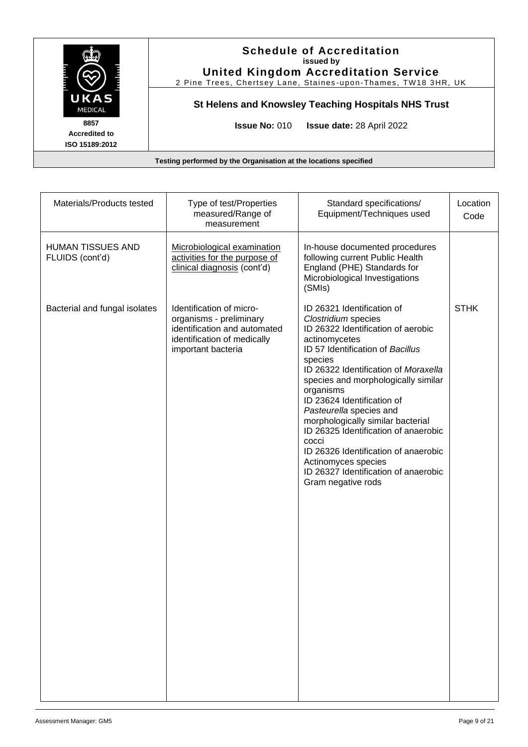

| Materials/Products tested                   | Type of test/Properties<br>measured/Range of<br>measurement                                                                              | Standard specifications/<br>Equipment/Techniques used                                                                                                                                                                                                                                                                                                                                                                                                                                                                           | Location<br>Code |
|---------------------------------------------|------------------------------------------------------------------------------------------------------------------------------------------|---------------------------------------------------------------------------------------------------------------------------------------------------------------------------------------------------------------------------------------------------------------------------------------------------------------------------------------------------------------------------------------------------------------------------------------------------------------------------------------------------------------------------------|------------------|
| <b>HUMAN TISSUES AND</b><br>FLUIDS (cont'd) | Microbiological examination<br>activities for the purpose of<br>clinical diagnosis (cont'd)                                              | In-house documented procedures<br>following current Public Health<br>England (PHE) Standards for<br>Microbiological Investigations<br>(SMIs)                                                                                                                                                                                                                                                                                                                                                                                    |                  |
| Bacterial and fungal isolates               | Identification of micro-<br>organisms - preliminary<br>identification and automated<br>identification of medically<br>important bacteria | ID 26321 Identification of<br>Clostridium species<br>ID 26322 Identification of aerobic<br>actinomycetes<br>ID 57 Identification of Bacillus<br>species<br>ID 26322 Identification of Moraxella<br>species and morphologically similar<br>organisms<br>ID 23624 Identification of<br>Pasteurella species and<br>morphologically similar bacterial<br>ID 26325 Identification of anaerobic<br>cocci<br>ID 26326 Identification of anaerobic<br>Actinomyces species<br>ID 26327 Identification of anaerobic<br>Gram negative rods | <b>STHK</b>      |
|                                             |                                                                                                                                          |                                                                                                                                                                                                                                                                                                                                                                                                                                                                                                                                 |                  |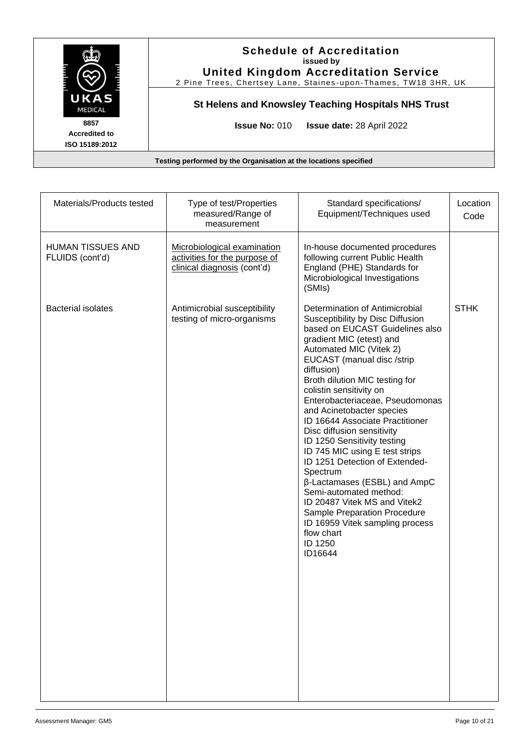

| Materials/Products tested                   | Type of test/Properties<br>measured/Range of<br>measurement                                 | Standard specifications/<br>Equipment/Techniques used                                                                                                                                                                                                                                                                                                                                                                                                                                                                                                                                                                                                                                                                         | Location<br>Code |
|---------------------------------------------|---------------------------------------------------------------------------------------------|-------------------------------------------------------------------------------------------------------------------------------------------------------------------------------------------------------------------------------------------------------------------------------------------------------------------------------------------------------------------------------------------------------------------------------------------------------------------------------------------------------------------------------------------------------------------------------------------------------------------------------------------------------------------------------------------------------------------------------|------------------|
| <b>HUMAN TISSUES AND</b><br>FLUIDS (cont'd) | Microbiological examination<br>activities for the purpose of<br>clinical diagnosis (cont'd) | In-house documented procedures<br>following current Public Health<br>England (PHE) Standards for<br>Microbiological Investigations<br>(SMIs)                                                                                                                                                                                                                                                                                                                                                                                                                                                                                                                                                                                  |                  |
| <b>Bacterial isolates</b>                   | Antimicrobial susceptibility<br>testing of micro-organisms                                  | Determination of Antimicrobial<br>Susceptibility by Disc Diffusion<br>based on EUCAST Guidelines also<br>gradient MIC (etest) and<br>Automated MIC (Vitek 2)<br>EUCAST (manual disc /strip<br>diffusion)<br>Broth dilution MIC testing for<br>colistin sensitivity on<br>Enterobacteriaceae, Pseudomonas<br>and Acinetobacter species<br><b>ID 16644 Associate Practitioner</b><br>Disc diffusion sensitivity<br>ID 1250 Sensitivity testing<br>ID 745 MIC using E test strips<br>ID 1251 Detection of Extended-<br>Spectrum<br>β-Lactamases (ESBL) and AmpC<br>Semi-automated method:<br>ID 20487 Vitek MS and Vitek2<br>Sample Preparation Procedure<br>ID 16959 Vitek sampling process<br>flow chart<br>ID 1250<br>ID16644 | <b>STHK</b>      |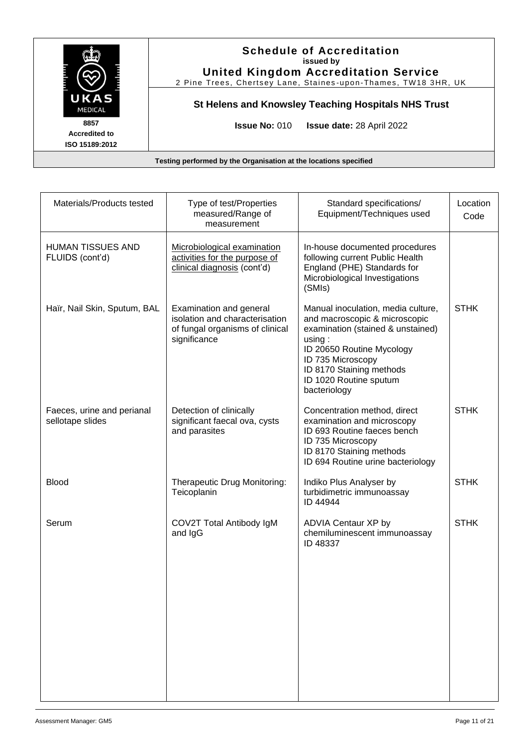

| Materials/Products tested                      | Type of test/Properties<br>measured/Range of<br>measurement                                                  | Standard specifications/<br>Equipment/Techniques used                                                                                                                                                                                      | Location<br>Code |
|------------------------------------------------|--------------------------------------------------------------------------------------------------------------|--------------------------------------------------------------------------------------------------------------------------------------------------------------------------------------------------------------------------------------------|------------------|
| <b>HUMAN TISSUES AND</b><br>FLUIDS (cont'd)    | Microbiological examination<br>activities for the purpose of<br>clinical diagnosis (cont'd)                  | In-house documented procedures<br>following current Public Health<br>England (PHE) Standards for<br>Microbiological Investigations<br>(SMIs)                                                                                               |                  |
| Haïr, Nail Skin, Sputum, BAL                   | Examination and general<br>isolation and characterisation<br>of fungal organisms of clinical<br>significance | Manual inoculation, media culture,<br>and macroscopic & microscopic<br>examination (stained & unstained)<br>using:<br>ID 20650 Routine Mycology<br>ID 735 Microscopy<br>ID 8170 Staining methods<br>ID 1020 Routine sputum<br>bacteriology | <b>STHK</b>      |
| Faeces, urine and perianal<br>sellotape slides | Detection of clinically<br>significant faecal ova, cysts<br>and parasites                                    | Concentration method, direct<br>examination and microscopy<br>ID 693 Routine faeces bench<br>ID 735 Microscopy<br>ID 8170 Staining methods<br>ID 694 Routine urine bacteriology                                                            | <b>STHK</b>      |
| <b>Blood</b>                                   | Therapeutic Drug Monitoring:<br>Teicoplanin                                                                  | Indiko Plus Analyser by<br>turbidimetric immunoassay<br>ID 44944                                                                                                                                                                           | <b>STHK</b>      |
| Serum                                          | COV2T Total Antibody IgM<br>and IgG                                                                          | ADVIA Centaur XP by<br>chemiluminescent immunoassay<br>ID 48337                                                                                                                                                                            | <b>STHK</b>      |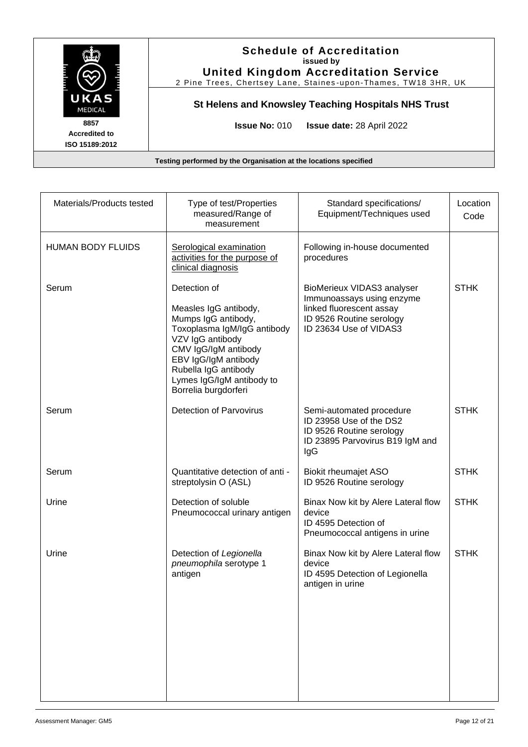

| Materials/Products tested | Type of test/Properties<br>measured/Range of<br>measurement                                                                                                                                                                                  | Standard specifications/<br>Equipment/Techniques used                                                                                     | Location<br>Code |
|---------------------------|----------------------------------------------------------------------------------------------------------------------------------------------------------------------------------------------------------------------------------------------|-------------------------------------------------------------------------------------------------------------------------------------------|------------------|
| <b>HUMAN BODY FLUIDS</b>  | Serological examination<br>activities for the purpose of<br>clinical diagnosis                                                                                                                                                               | Following in-house documented<br>procedures                                                                                               |                  |
| Serum                     | Detection of<br>Measles IgG antibody,<br>Mumps IgG antibody,<br>Toxoplasma IgM/IgG antibody<br>VZV IgG antibody<br>CMV IgG/IgM antibody<br>EBV IgG/IgM antibody<br>Rubella IgG antibody<br>Lymes IgG/IgM antibody to<br>Borrelia burgdorferi | BioMerieux VIDAS3 analyser<br>Immunoassays using enzyme<br>linked fluorescent assay<br>ID 9526 Routine serology<br>ID 23634 Use of VIDAS3 | <b>STHK</b>      |
| Serum                     | <b>Detection of Parvovirus</b>                                                                                                                                                                                                               | Semi-automated procedure<br>ID 23958 Use of the DS2<br>ID 9526 Routine serology<br>ID 23895 Parvovirus B19 IgM and<br>IgG                 | <b>STHK</b>      |
| Serum                     | Quantitative detection of anti -<br>streptolysin O (ASL)                                                                                                                                                                                     | <b>Biokit rheumajet ASO</b><br>ID 9526 Routine serology                                                                                   | <b>STHK</b>      |
| Urine                     | Detection of soluble<br>Pneumococcal urinary antigen                                                                                                                                                                                         | Binax Now kit by Alere Lateral flow<br>device<br>ID 4595 Detection of<br>Pneumococcal antigens in urine                                   | <b>STHK</b>      |
| Urine                     | Detection of Legionella<br>pneumophila serotype 1<br>antigen                                                                                                                                                                                 | Binax Now kit by Alere Lateral flow<br>device<br>ID 4595 Detection of Legionella<br>antigen in urine                                      | <b>STHK</b>      |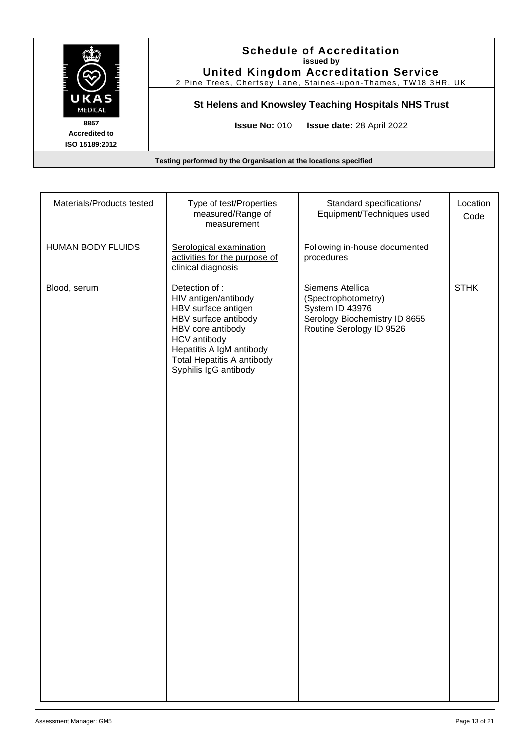

| Materials/Products tested | Type of test/Properties<br>measured/Range of<br>measurement                                                                                                                                                         | Standard specifications/<br>Equipment/Techniques used                                                                   | Location<br>Code |
|---------------------------|---------------------------------------------------------------------------------------------------------------------------------------------------------------------------------------------------------------------|-------------------------------------------------------------------------------------------------------------------------|------------------|
| <b>HUMAN BODY FLUIDS</b>  | Serological examination<br>activities for the purpose of<br>clinical diagnosis                                                                                                                                      | Following in-house documented<br>procedures                                                                             |                  |
| Blood, serum              | Detection of:<br>HIV antigen/antibody<br>HBV surface antigen<br>HBV surface antibody<br>HBV core antibody<br>HCV antibody<br>Hepatitis A IgM antibody<br><b>Total Hepatitis A antibody</b><br>Syphilis IgG antibody | Siemens Atellica<br>(Spectrophotometry)<br>System ID 43976<br>Serology Biochemistry ID 8655<br>Routine Serology ID 9526 | <b>STHK</b>      |
|                           |                                                                                                                                                                                                                     |                                                                                                                         |                  |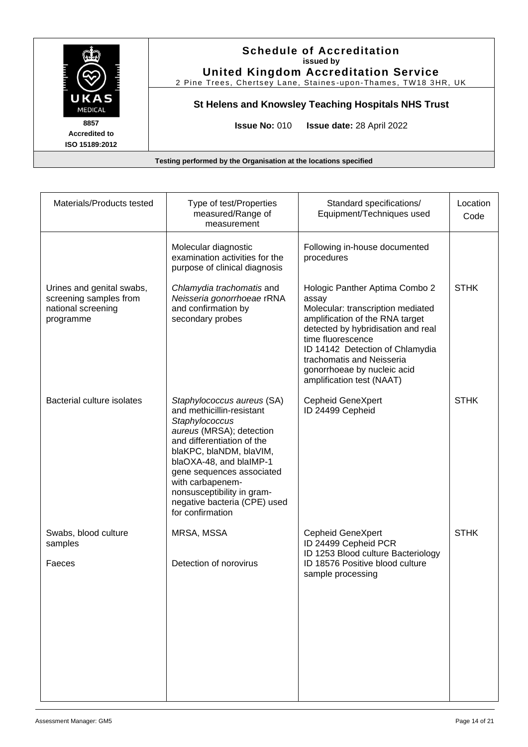

**Testing performed by the Organisation at the locations specified**

| Materials/Products tested                                                              | Type of test/Properties<br>measured/Range of<br>measurement                                                                                                                                                                                                                                                                  | Standard specifications/<br>Equipment/Techniques used                                                                                                                                                                                                                                                  | Location<br>Code |
|----------------------------------------------------------------------------------------|------------------------------------------------------------------------------------------------------------------------------------------------------------------------------------------------------------------------------------------------------------------------------------------------------------------------------|--------------------------------------------------------------------------------------------------------------------------------------------------------------------------------------------------------------------------------------------------------------------------------------------------------|------------------|
|                                                                                        | Molecular diagnostic<br>examination activities for the<br>purpose of clinical diagnosis                                                                                                                                                                                                                                      | Following in-house documented<br>procedures                                                                                                                                                                                                                                                            |                  |
| Urines and genital swabs,<br>screening samples from<br>national screening<br>programme | Chlamydia trachomatis and<br>Neisseria gonorrhoeae rRNA<br>and confirmation by<br>secondary probes                                                                                                                                                                                                                           | Hologic Panther Aptima Combo 2<br>assay<br>Molecular: transcription mediated<br>amplification of the RNA target<br>detected by hybridisation and real<br>time fluorescence<br>ID 14142 Detection of Chlamydia<br>trachomatis and Neisseria<br>gonorrhoeae by nucleic acid<br>amplification test (NAAT) | <b>STHK</b>      |
| Bacterial culture isolates                                                             | Staphylococcus aureus (SA)<br>and methicillin-resistant<br>Staphylococcus<br>aureus (MRSA); detection<br>and differentiation of the<br>blaKPC, blaNDM, blaVIM,<br>blaOXA-48, and blaIMP-1<br>gene sequences associated<br>with carbapenem-<br>nonsusceptibility in gram-<br>negative bacteria (CPE) used<br>for confirmation | <b>Cepheid GeneXpert</b><br>ID 24499 Cepheid                                                                                                                                                                                                                                                           | <b>STHK</b>      |
| Swabs, blood culture<br>samples<br>Faeces                                              | MRSA, MSSA<br>Detection of norovirus                                                                                                                                                                                                                                                                                         | <b>Cepheid GeneXpert</b><br>ID 24499 Cepheid PCR<br>ID 1253 Blood culture Bacteriology<br>ID 18576 Positive blood culture<br>sample processing                                                                                                                                                         | <b>STHK</b>      |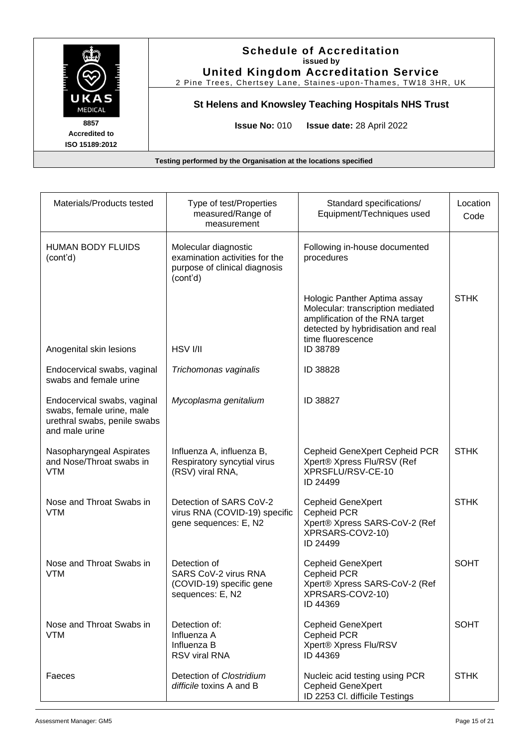

| Materials/Products tested                                                                                  | Type of test/Properties<br>measured/Range of<br>measurement                                         | Standard specifications/<br>Equipment/Techniques used                                                                                                                       | Location<br>Code |
|------------------------------------------------------------------------------------------------------------|-----------------------------------------------------------------------------------------------------|-----------------------------------------------------------------------------------------------------------------------------------------------------------------------------|------------------|
| <b>HUMAN BODY FLUIDS</b><br>(cont'd)                                                                       | Molecular diagnostic<br>examination activities for the<br>purpose of clinical diagnosis<br>(cont'd) | Following in-house documented<br>procedures                                                                                                                                 |                  |
| Anogenital skin lesions                                                                                    | HSV I/II                                                                                            | Hologic Panther Aptima assay<br>Molecular: transcription mediated<br>amplification of the RNA target<br>detected by hybridisation and real<br>time fluorescence<br>ID 38789 | <b>STHK</b>      |
| Endocervical swabs, vaginal<br>swabs and female urine                                                      | Trichomonas vaginalis                                                                               | ID 38828                                                                                                                                                                    |                  |
| Endocervical swabs, vaginal<br>swabs, female urine, male<br>urethral swabs, penile swabs<br>and male urine | Mycoplasma genitalium                                                                               | ID 38827                                                                                                                                                                    |                  |
| Nasopharyngeal Aspirates<br>and Nose/Throat swabs in<br><b>VTM</b>                                         | Influenza A, influenza B,<br>Respiratory syncytial virus<br>(RSV) viral RNA,                        | Cepheid GeneXpert Cepheid PCR<br>Xpert® Xpress Flu/RSV (Ref<br>XPRSFLU/RSV-CE-10<br>ID 24499                                                                                | <b>STHK</b>      |
| Nose and Throat Swabs in<br><b>VTM</b>                                                                     | Detection of SARS CoV-2<br>virus RNA (COVID-19) specific<br>gene sequences: E, N2                   | <b>Cepheid GeneXpert</b><br>Cepheid PCR<br>Xpert® Xpress SARS-CoV-2 (Ref<br>XPRSARS-COV2-10)<br>ID 24499                                                                    | <b>STHK</b>      |
| Nose and Throat Swabs in<br><b>VTM</b>                                                                     | Detection of<br>SARS CoV-2 virus RNA<br>(COVID-19) specific gene<br>sequences: E, N2                | <b>Cepheid GeneXpert</b><br>Cepheid PCR<br>Xpert® Xpress SARS-CoV-2 (Ref<br>XPRSARS-COV2-10)<br>ID 44369                                                                    | <b>SOHT</b>      |
| Nose and Throat Swabs in<br><b>VTM</b>                                                                     | Detection of:<br>Influenza A<br>Influenza B<br>RSV viral RNA                                        | <b>Cepheid GeneXpert</b><br>Cepheid PCR<br>Xpert® Xpress Flu/RSV<br>ID 44369                                                                                                | <b>SOHT</b>      |
| Faeces                                                                                                     | Detection of Clostridium<br>difficile toxins A and B                                                | Nucleic acid testing using PCR<br><b>Cepheid GeneXpert</b><br>ID 2253 Cl. difficile Testings                                                                                | <b>STHK</b>      |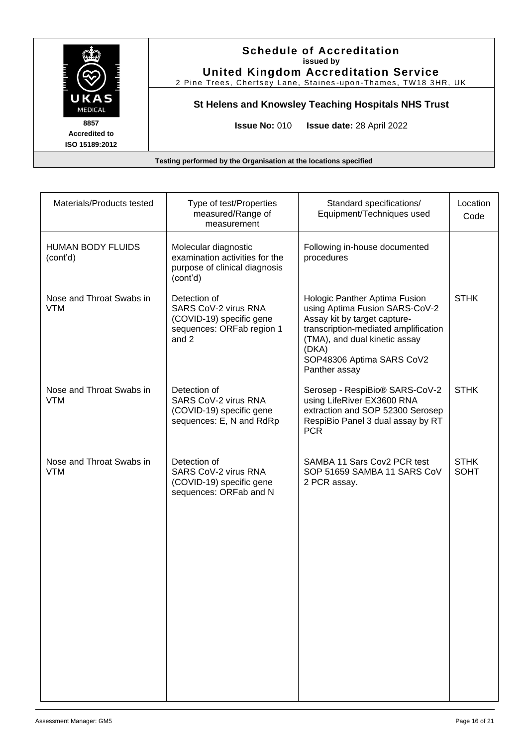

| Materials/Products tested              | Type of test/Properties<br>measured/Range of<br>measurement                                            | Standard specifications/<br>Equipment/Techniques used                                                                                                                                                                           | Location<br>Code           |
|----------------------------------------|--------------------------------------------------------------------------------------------------------|---------------------------------------------------------------------------------------------------------------------------------------------------------------------------------------------------------------------------------|----------------------------|
| <b>HUMAN BODY FLUIDS</b><br>(cont'd)   | Molecular diagnostic<br>examination activities for the<br>purpose of clinical diagnosis<br>(cont'd)    | Following in-house documented<br>procedures                                                                                                                                                                                     |                            |
| Nose and Throat Swabs in<br><b>VTM</b> | Detection of<br>SARS CoV-2 virus RNA<br>(COVID-19) specific gene<br>sequences: ORFab region 1<br>and 2 | Hologic Panther Aptima Fusion<br>using Aptima Fusion SARS-CoV-2<br>Assay kit by target capture-<br>transcription-mediated amplification<br>(TMA), and dual kinetic assay<br>(DKA)<br>SOP48306 Aptima SARS CoV2<br>Panther assay | <b>STHK</b>                |
| Nose and Throat Swabs in<br><b>VTM</b> | Detection of<br>SARS CoV-2 virus RNA<br>(COVID-19) specific gene<br>sequences: E, N and RdRp           | Serosep - RespiBio® SARS-CoV-2<br>using LifeRiver EX3600 RNA<br>extraction and SOP 52300 Serosep<br>RespiBio Panel 3 dual assay by RT<br><b>PCR</b>                                                                             | <b>STHK</b>                |
| Nose and Throat Swabs in<br><b>VTM</b> | Detection of<br>SARS CoV-2 virus RNA<br>(COVID-19) specific gene<br>sequences: ORFab and N             | SAMBA 11 Sars Cov2 PCR test<br>SOP 51659 SAMBA 11 SARS CoV<br>2 PCR assay.                                                                                                                                                      | <b>STHK</b><br><b>SOHT</b> |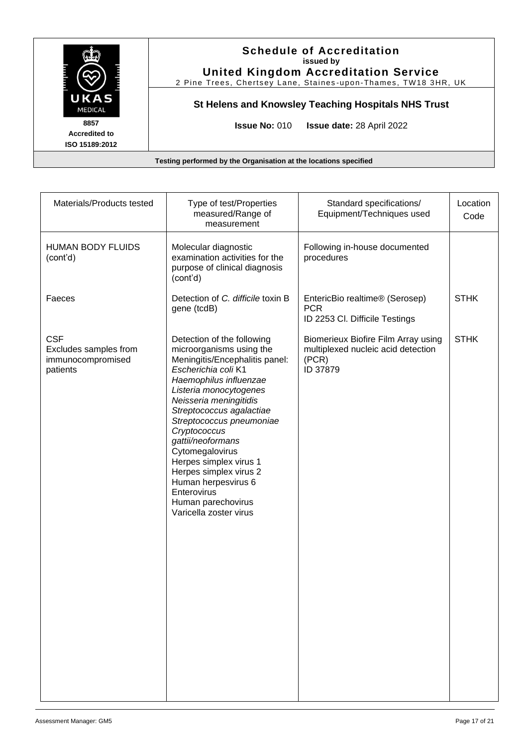

| Materials/Products tested                                            | Type of test/Properties<br>measured/Range of<br>measurement                                                                                                                                                                                                                                                                                                                                                                                             | Standard specifications/<br>Equipment/Techniques used                                          | Location<br>Code |
|----------------------------------------------------------------------|---------------------------------------------------------------------------------------------------------------------------------------------------------------------------------------------------------------------------------------------------------------------------------------------------------------------------------------------------------------------------------------------------------------------------------------------------------|------------------------------------------------------------------------------------------------|------------------|
| <b>HUMAN BODY FLUIDS</b><br>(cont'd)                                 | Molecular diagnostic<br>examination activities for the<br>purpose of clinical diagnosis<br>(cont'd)                                                                                                                                                                                                                                                                                                                                                     | Following in-house documented<br>procedures                                                    |                  |
| Faeces                                                               | Detection of C. difficile toxin B<br>gene (tcdB)                                                                                                                                                                                                                                                                                                                                                                                                        | EntericBio realtime® (Serosep)<br><b>PCR</b><br>ID 2253 Cl. Difficile Testings                 | <b>STHK</b>      |
| <b>CSF</b><br>Excludes samples from<br>immunocompromised<br>patients | Detection of the following<br>microorganisms using the<br>Meningitis/Encephalitis panel:<br>Escherichia coli K1<br>Haemophilus influenzae<br>Listeria monocytogenes<br>Neisseria meningitidis<br>Streptococcus agalactiae<br>Streptococcus pneumoniae<br>Cryptococcus<br>gattii/neoformans<br>Cytomegalovirus<br>Herpes simplex virus 1<br>Herpes simplex virus 2<br>Human herpesvirus 6<br>Enterovirus<br>Human parechovirus<br>Varicella zoster virus | Biomerieux Biofire Film Array using<br>multiplexed nucleic acid detection<br>(PCR)<br>ID 37879 | <b>STHK</b>      |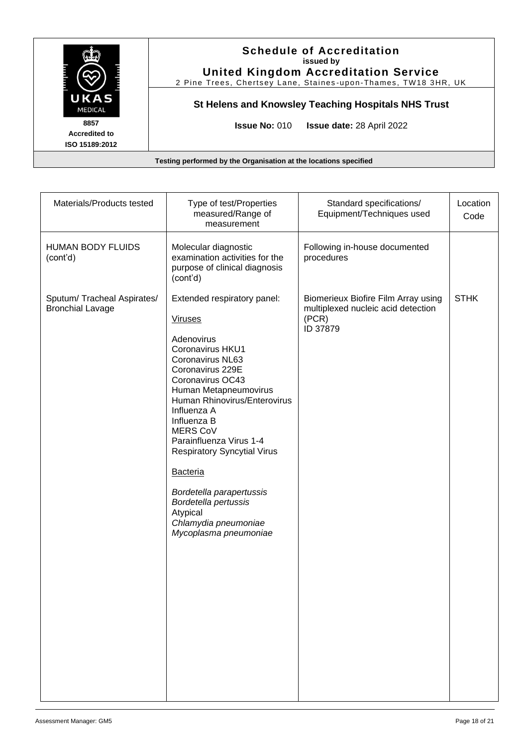

Materials/Products tested Type of test/Properties measured/Range of measurement Standard specifications/ Equipment/Techniques used Location Code HUMAN BODY FLUIDS (cont'd) Molecular diagnostic examination activities for the purpose of clinical diagnosis (cont'd) Following in-house documented procedures Sputum/ Tracheal Aspirates/ Bronchial Lavage Extended respiratory panel: Viruses Adenovirus Coronavirus HKU1 Coronavirus NL63 Coronavirus 229E Coronavirus OC43 Human Metapneumovirus Human Rhinovirus/Enterovirus Influenza A Influenza B MERS CoV Parainfluenza Virus 1-4 Respiratory Syncytial Virus Bacteria *Bordetella parapertussis Bordetella pertussis* Atypical *Chlamydia pneumoniae Mycoplasma pneumoniae* Biomerieux Biofire Film Array using multiplexed nucleic acid detection (PCR) ID 37879 **STHK**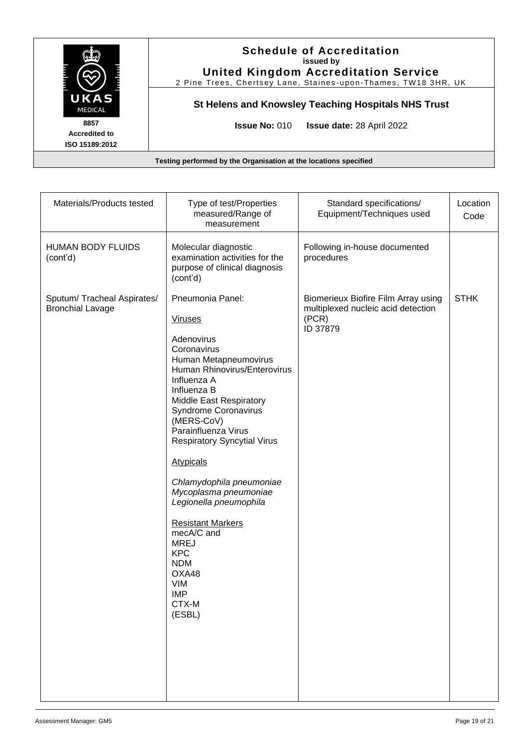

| Materials/Products tested                              | Type of test/Properties<br>measured/Range of<br>measurement                                                                                                                                                                                                                                                                                                                                                                                                                                                                                 | Standard specifications/<br>Equipment/Techniques used                                          | Location<br>Code |
|--------------------------------------------------------|---------------------------------------------------------------------------------------------------------------------------------------------------------------------------------------------------------------------------------------------------------------------------------------------------------------------------------------------------------------------------------------------------------------------------------------------------------------------------------------------------------------------------------------------|------------------------------------------------------------------------------------------------|------------------|
| <b>HUMAN BODY FLUIDS</b><br>(cont'd)                   | Molecular diagnostic<br>examination activities for the<br>purpose of clinical diagnosis<br>(cont'd)                                                                                                                                                                                                                                                                                                                                                                                                                                         | Following in-house documented<br>procedures                                                    |                  |
| Sputum/ Tracheal Aspirates/<br><b>Bronchial Lavage</b> | Pneumonia Panel:<br><b>Viruses</b><br>Adenovirus<br>Coronavirus<br>Human Metapneumovirus<br>Human Rhinovirus/Enterovirus<br>Influenza A<br>Influenza B<br><b>Middle East Respiratory</b><br>Syndrome Coronavirus<br>(MERS-CoV)<br>Parainfluenza Virus<br><b>Respiratory Syncytial Virus</b><br><b>Atypicals</b><br>Chlamydophila pneumoniae<br>Mycoplasma pneumoniae<br>Legionella pneumophila<br><b>Resistant Markers</b><br>mecA/C and<br><b>MREJ</b><br><b>KPC</b><br><b>NDM</b><br>OXA48<br><b>VIM</b><br><b>IMP</b><br>CTX-M<br>(ESBL) | Biomerieux Biofire Film Array using<br>multiplexed nucleic acid detection<br>(PCR)<br>ID 37879 | <b>STHK</b>      |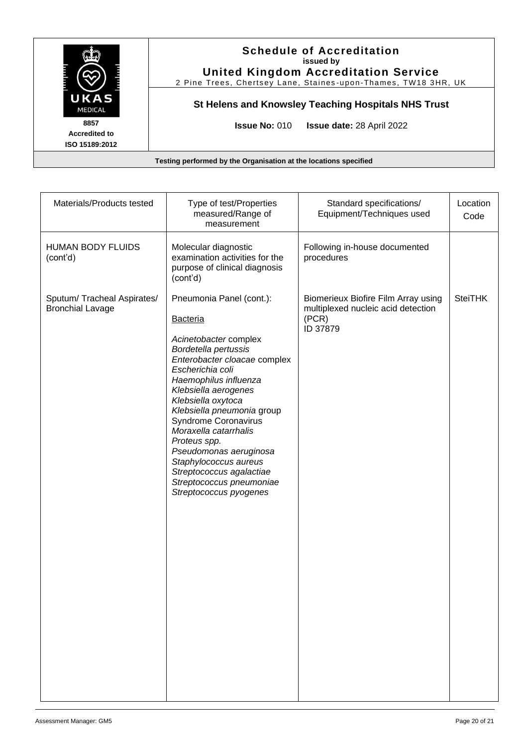

| Materials/Products tested                              | Type of test/Properties<br>measured/Range of<br>measurement                                                                                                                                                                                                                                                                                                                                                                                                        | Standard specifications/<br>Equipment/Techniques used                                          | Location<br>Code |
|--------------------------------------------------------|--------------------------------------------------------------------------------------------------------------------------------------------------------------------------------------------------------------------------------------------------------------------------------------------------------------------------------------------------------------------------------------------------------------------------------------------------------------------|------------------------------------------------------------------------------------------------|------------------|
| <b>HUMAN BODY FLUIDS</b><br>(cont'd)                   | Molecular diagnostic<br>examination activities for the<br>purpose of clinical diagnosis<br>(cont'd)                                                                                                                                                                                                                                                                                                                                                                | Following in-house documented<br>procedures                                                    |                  |
| Sputum/ Tracheal Aspirates/<br><b>Bronchial Lavage</b> | Pneumonia Panel (cont.):<br><b>Bacteria</b><br>Acinetobacter complex<br>Bordetella pertussis<br>Enterobacter cloacae complex<br>Escherichia coli<br>Haemophilus influenza<br>Klebsiella aerogenes<br>Klebsiella oxytoca<br>Klebsiella pneumonia group<br><b>Syndrome Coronavirus</b><br>Moraxella catarrhalis<br>Proteus spp.<br>Pseudomonas aeruginosa<br>Staphylococcus aureus<br>Streptococcus agalactiae<br>Streptococcus pneumoniae<br>Streptococcus pyogenes | Biomerieux Biofire Film Array using<br>multiplexed nucleic acid detection<br>(PCR)<br>ID 37879 | <b>SteiTHK</b>   |